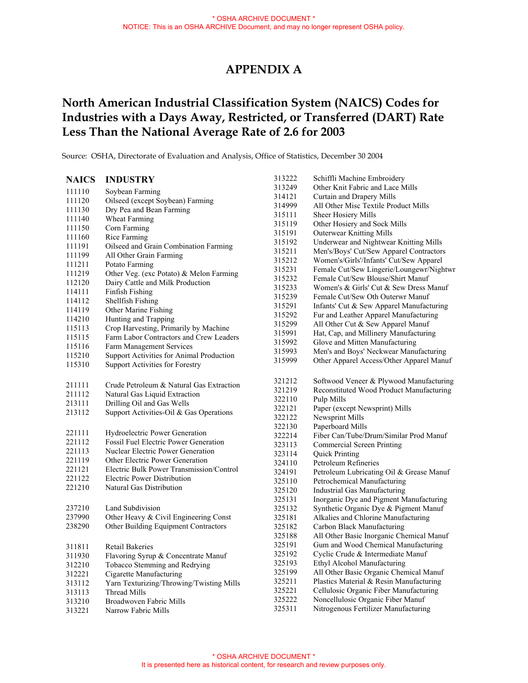## **APPENDIX A**

# **North American Industrial Classification System (NAICS) Codes for Industries with a Days Away, Restricted, or Transferred (DART) Rate Less Than the National Average Rate of 2.6 for 2003**

Source: OSHA, Directorate of Evaluation and Analysis, Office of Statistics, December 30 2004

#### 211111 211112 213111 213112 221111 221112 221113 237210 237990 238290 313222 313249 314121 314999 315111 315119 315191 315192 315211 315212 315231 315232 315233 315239 315291 315292 315299 315991<br>315992 321212 321219 322110 322121 322122 322130 322214 323113 323114 324110 324191 325110 325120 325131 325132 325181 325182 325188 325191<br>325192 325199 325221 325222 325311 **NAICS INDUSTRY**  111110 111120 111130 111140 111150 111160 111191 111199 111211 111219 112120 114111 114112 114119 114210 115113 115115 115116 115210 115310 221119 221121 221122 221210 311811 311930 312210 312221 313112 313113 313210 313221 Soybean Farming Oilseed (except Soybean) Farming Dry Pea and Bean Farming Wheat Farming Corn Farming Rice Farming Oilseed and Grain Combination Farming All Other Grain Farming Potato Farming Other Veg. (exc Potato) & Melon Farming Dairy Cattle and Milk Production Finfish Fishing Shellfish Fishing Other Marine Fishing Hunting and Trapping Crop Harvesting, Primarily by Machine Farm Labor Contractors and Crew Leaders Farm Management Services Support Activities for Animal Production Support Activities for Forestry Crude Petroleum & Natural Gas Extraction Natural Gas Liquid Extraction Drilling Oil and Gas Wells Support Activities-Oil & Gas Operations Hydroelectric Power Generation Fossil Fuel Electric Power Generation Nuclear Electric Power Generation Other Electric Power Generation Electric Bulk Power Transmission/Control Electric Power Distribution Natural Gas Distribution Land Subdivision Other Heavy & Civil Engineering Const Other Building Equipment Contractors Retail Bakeries Flavoring Syrup & Concentrate Manuf Tobacco Stemming and Redrying Cigarette Manufacturing Yarn Texturizing/Throwing/Twisting Mills Thread Mills Broadwoven Fabric Mills Narrow Fabric Mills Schiffli Machine Embroidery Other Knit Fabric and Lace Mills Curtain and Drapery Mills All Other Misc Textile Product Mills Sheer Hosiery Mills Other Hosiery and Sock Mills **Outerwear Knitting Mills** 315192 Underwear and Nightwear Knitting Mills Men's/Boys' Cut/Sew Apparel Contractors 315212 Women's/Girls'/Infants' Cut/Sew Apparel 315231 Female Cut/Sew Lingerie/Loungewr/Nightwr Female Cut/Sew Blouse/Shirt Manuf 315233 Women's & Girls' Cut & Sew Dress Manuf Female Cut/Sew Oth Outerwr Manuf Infants' Cut & Sew Apparel Manufacturing Fur and Leather Apparel Manufacturing All Other Cut & Sew Apparel Manuf Hat, Cap, and Millinery Manufacturing Glove and Mitten Manufacturing 315993 Men's and Boys' Neckwear Manufacturing 315999 Other Apparel Access/Other Apparel Manuf Softwood Veneer & Plywood Manufacturing Reconstituted Wood Product Manufacturing Pulp Mills Paper (except Newsprint) Mills Newsprint Mills Paperboard Mills 322214 Fiber Can/Tube/Drum/Similar Prod Manuf Commercial Screen Printing Quick Printing Petroleum Refineries Petroleum Lubricating Oil & Grease Manuf Petrochemical Manufacturing 325120 Industrial Gas Manufacturing Inorganic Dye and Pigment Manufacturing Synthetic Organic Dye & Pigment Manuf Alkalies and Chlorine Manufacturing Carbon Black Manufacturing All Other Basic Inorganic Chemical Manuf Gum and Wood Chemical Manufacturing Cyclic Crude & Intermediate Manuf 325193 Ethyl Alcohol Manufacturing All Other Basic Organic Chemical Manuf 325211 Plastics Material & Resin Manufacturing Cellulosic Organic Fiber Manufacturing Noncellulosic Organic Fiber Manuf Nitrogenous Fertilizer Manufacturing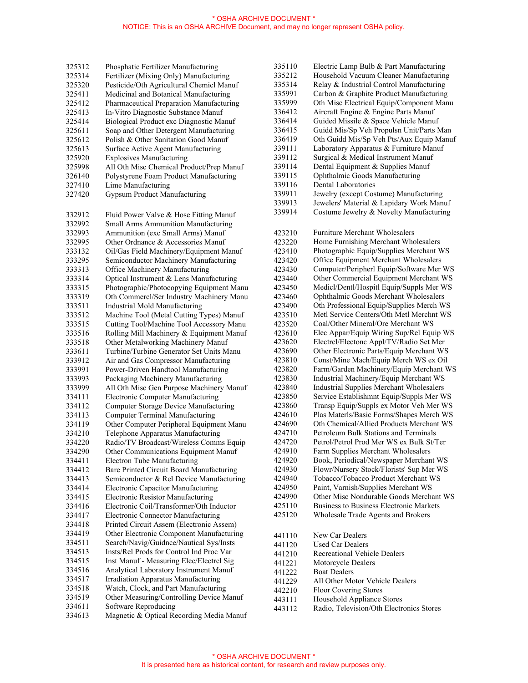| 325312 | Phosphatic Fertilizer Manufacturing        |
|--------|--------------------------------------------|
| 325314 | Fertilizer (Mixing Only) Manufacturing     |
| 325320 | Pesticide/Oth Agricultural Chemicl Manuf   |
| 325411 | Medicinal and Botanical Manufacturing      |
| 325412 | Pharmaceutical Preparation Manufacturing   |
| 325413 | In-Vitro Diagnostic Substance Manuf        |
| 325414 | Biological Product exc Diagnostic Manuf    |
| 325611 | Soap and Other Detergent Manufacturing     |
| 325612 | Polish & Other Sanitation Good Manuf       |
| 325613 | Surface Active Agent Manufacturing         |
| 325920 | <b>Explosives Manufacturing</b>            |
| 325998 | All Oth Misc Chemical Product/Prep Manuf   |
| 326140 | Polystyrene Foam Product Manufacturing     |
| 327410 | Lime Manufacturing                         |
| 327420 | <b>Gypsum Product Manufacturing</b>        |
|        |                                            |
| 332912 | Fluid Power Valve & Hose Fitting Manuf     |
| 332992 | Small Arms Ammunition Manufacturing        |
| 332993 | Ammunition (exc Small Arms) Manuf          |
| 332995 | Other Ordnance & Accessories Manuf         |
| 333132 | Oil/Gas Field Machinery/Equipment Manuf    |
| 333295 | Semiconductor Machinery Manufacturing      |
| 333313 | Office Machinery Manufacturing             |
| 333314 | Optical Instrument & Lens Manufacturing    |
| 333315 | Photographic/Photocopying Equipment Manu   |
| 333319 | Oth Commercl/Ser Industry Machinery Manu   |
| 333511 | <b>Industrial Mold Manufacturing</b>       |
| 333512 | Machine Tool (Metal Cutting Types) Manuf   |
| 333515 | Cutting Tool/Machine Tool Accessory Manu   |
| 333516 | Rolling Mill Machinery & Equipment Manuf   |
|        | Other Metalworking Machinery Manuf         |
| 333518 | Turbine/Turbine Generator Set Units Manu   |
| 333611 |                                            |
| 333912 | Air and Gas Compressor Manufacturing       |
| 333991 | Power-Driven Handtool Manufacturing        |
| 333993 | Packaging Machinery Manufacturing          |
| 333999 | All Oth Misc Gen Purpose Machinery Manuf   |
| 334111 | <b>Electronic Computer Manufacturing</b>   |
| 334112 | Computer Storage Device Manufacturing      |
| 334113 | Computer Terminal Manufacturing            |
| 334119 | Other Computer Peripheral Equipment Manu   |
| 334210 | Telephone Apparatus Manufacturing          |
| 334220 | Radio/TV Broadcast/Wireless Comms Equip    |
| 334290 | Other Communications Equipment Manuf       |
| 334411 | <b>Electron Tube Manufacturing</b>         |
| 334412 | Bare Printed Circuit Board Manufacturing   |
| 334413 | Semiconductor & Rel Device Manufacturing   |
| 334414 | <b>Electronic Capacitor Manufacturing</b>  |
| 334415 | <b>Electronic Resistor Manufacturing</b>   |
| 334416 | Electronic Coil/Transformer/Oth Inductor   |
| 334417 | <b>Electronic Connector Manufacturing</b>  |
| 334418 | Printed Circuit Assem (Electronic Assem)   |
| 334419 | Other Electronic Component Manufacturing   |
| 334511 | Search/Navig/Guidnce/Nautical Sys/Insts    |
| 334513 | Insts/Rel Prods for Control Ind Proc Var   |
| 334515 | Inst Manuf - Measuring Elec/Electrcl Sig   |
| 334516 | Analytical Laboratory Instrument Manuf     |
| 334517 | <b>Irradiation Apparatus Manufacturing</b> |
| 334518 | Watch, Clock, and Part Manufacturing       |
| 334519 | Other Measuring/Controlling Device Manuf   |
| 334611 | Software Reproducing                       |
| 334613 | Magnetic & Optical Recording Media Manuf   |

| 335110 | Electric Lamp Bulb & Part Manufacturing         |
|--------|-------------------------------------------------|
| 335212 | Household Vacuum Cleaner Manufacturing          |
| 335314 | Relay & Industrial Control Manufacturing        |
| 335991 | Carbon & Graphite Product Manufacturing         |
|        |                                                 |
| 335999 | Oth Misc Electrical Equip/Component Manu        |
| 336412 | Aircraft Engine & Engine Parts Manuf            |
| 336414 | Guided Missile & Space Vehicle Manuf            |
| 336415 | Guidd Mis/Sp Veh Propulsn Unit/Parts Man        |
| 336419 | Oth Guidd Mis/Sp Veh Pts/Aux Equip Manuf        |
| 339111 | Laboratory Apparatus & Furniture Manuf          |
| 339112 | Surgical & Medical Instrument Manuf             |
| 339114 | Dental Equipment & Supplies Manuf               |
| 339115 | Ophthalmic Goods Manufacturing                  |
| 339116 | <b>Dental Laboratories</b>                      |
| 339911 | Jewelry (except Costume) Manufacturing          |
| 339913 | Jewelers' Material & Lapidary Work Manuf        |
| 339914 | Costume Jewelry & Novelty Manufacturing         |
| 423210 | <b>Furniture Merchant Wholesalers</b>           |
| 423220 | Home Furnishing Merchant Wholesalers            |
| 423410 | Photographic Equip/Supplies Merchant WS         |
| 423420 | Office Equipment Merchant Wholesalers           |
| 423430 | Computer/Peripherl Equip/Software Mer WS        |
| 423440 | Other Commercial Equipment Merchant WS          |
| 423450 | Medicl/Dentl/Hospitl Equip/Suppls Mer WS        |
| 423460 | Ophthalmic Goods Merchant Wholesalers           |
| 423490 | Oth Professional Equip/Supplies Merch WS        |
| 423510 | Metl Service Centers/Oth Metl Merchnt WS        |
| 423520 | Coal/Other Mineral/Ore Merchant WS              |
| 423610 | Elec Appar/Equip Wiring Sup/Rel Equip WS        |
| 423620 | Electrcl/Electonc Appl/TV/Radio Set Mer         |
| 423690 | Other Electronic Parts/Equip Merchant WS        |
| 423810 | Const/Mine Mach/Equip Merch WS ex Oil           |
| 423820 | Farm/Garden Machinery/Equip Merchant WS         |
| 423830 | Industrial Machinery/Equip Merchant WS          |
| 423840 | <b>Industrial Supplies Merchant Wholesalers</b> |
|        | Service Establishmnt Equip/Suppls Mer WS        |
| 423850 |                                                 |
| 423860 | Transp Equip/Suppls ex Motor Veh Mer WS         |
| 424610 | Plas Materls/Basic Forms/Shapes Merch WS        |
| 424690 | Oth Chemical/Allied Products Merchant WS        |
| 424710 | Petroleum Bulk Stations and Terminals           |
| 424720 | Petrol/Petrol Prod Mer WS ex Bulk St/Ter        |
| 424910 | Farm Supplies Merchant Wholesalers              |
| 424920 | Book, Periodical/Newspaper Merchant WS          |
| 424930 | Flowr/Nursery Stock/Florists' Sup Mer WS        |
| 424940 | Tobacco/Tobacco Product Merchant WS             |
| 424950 | Paint, Varnish/Supplies Merchant WS             |
| 424990 | Other Misc Nondurable Goods Merchant WS         |
| 425110 | <b>Business to Business Electronic Markets</b>  |
| 425120 | Wholesale Trade Agents and Brokers              |
| 441110 | New Car Dealers                                 |
| 441120 | <b>Used Car Dealers</b>                         |
| 441210 | <b>Recreational Vehicle Dealers</b>             |
| 441221 | Motorcycle Dealers                              |
| 441222 | <b>Boat Dealers</b>                             |
| 441229 | All Other Motor Vehicle Dealers                 |
| 442210 | Floor Covering Stores                           |
| 443111 | Household Appliance Stores                      |
| 443112 | Radio, Television/Oth Electronics Stores        |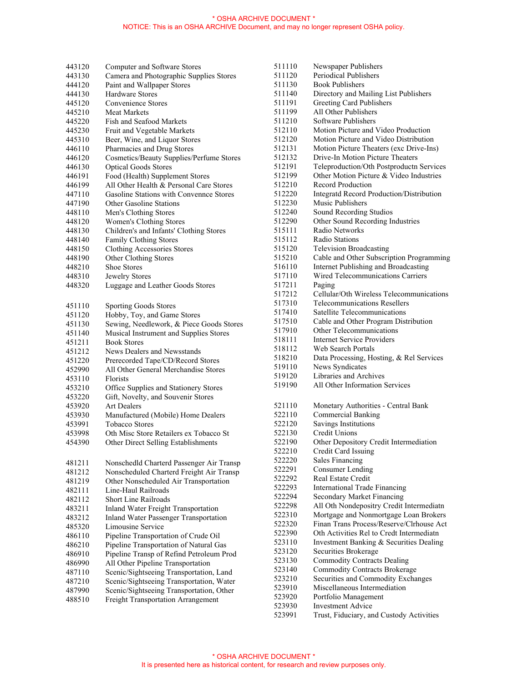| 443120 | Computer and Software Stores                 |
|--------|----------------------------------------------|
| 443130 | Camera and Photographic Supplies Stores      |
| 444120 | Paint and Wallpaper Stores                   |
| 444130 | <b>Hardware Stores</b>                       |
| 445120 | Convenience Stores                           |
| 445210 | <b>Meat Markets</b>                          |
| 445220 | Fish and Seafood Markets                     |
| 445230 | Fruit and Vegetable Markets                  |
| 445310 | Beer, Wine, and Liquor Stores                |
| 446110 | Pharmacies and Drug Stores                   |
| 446120 | Cosmetics/Beauty Supplies/Perfume Stores     |
| 446130 | <b>Optical Goods Stores</b>                  |
| 446191 | Food (Health) Supplement Stores              |
| 446199 | All Other Health & Personal Care Stores      |
| 447110 | Gasoline Stations with Convennee Stores      |
| 447190 | <b>Other Gasoline Stations</b>               |
| 448110 | Men's Clothing Stores                        |
| 448120 | Women's Clothing Stores                      |
| 448130 | Children's and Infants' Clothing Stores      |
| 448140 | Family Clothing Stores                       |
| 448150 | <b>Clothing Accessories Stores</b>           |
| 448190 | Other Clothing Stores                        |
| 448210 | <b>Shoe Stores</b>                           |
| 448310 | Jewelry Stores                               |
| 448320 | Luggage and Leather Goods Stores             |
|        |                                              |
| 451110 | Sporting Goods Stores                        |
| 451120 | Hobby, Toy, and Game Stores                  |
| 451130 | Sewing, Needlework, & Piece Goods Stores     |
| 451140 | Musical Instrument and Supplies Stores       |
| 451211 | <b>Book Stores</b>                           |
| 451212 | News Dealers and Newsstands                  |
| 451220 | Prerecorded Tape/CD/Record Stores            |
| 452990 | All Other General Merchandise Stores         |
| 453110 | Florists                                     |
| 453210 | Office Supplies and Stationery Stores        |
| 453220 | Gift, Novelty, and Souvenir Stores           |
| 453920 | <b>Art Dealers</b>                           |
| 453930 | Manufactured (Mobile) Home Dealers           |
| 453991 | <b>Tobacco Stores</b>                        |
| 453998 | Oth Misc Store Retailers ex Tobacco St       |
| 454390 | Other Direct Selling Establishments          |
|        |                                              |
| 481211 | Nonschedld Charterd Passenger Air Transp     |
| 481212 | Nonscheduled Charterd Freight Air Transp     |
| 481219 | Other Nonscheduled Air Transportation        |
| 482111 | Line-Haul Railroads                          |
| 482112 | Short Line Railroads                         |
| 483211 | <b>Inland Water Freight Transportation</b>   |
| 483212 | <b>Inland Water Passenger Transportation</b> |
| 485320 | Limousine Service                            |
| 486110 | Pipeline Transportation of Crude Oil         |
| 486210 | Pipeline Transportation of Natural Gas       |
| 486910 | Pipeline Transp of Refind Petroleum Prod     |
| 486990 | All Other Pipeline Transportation            |
| 487110 | Scenic/Sightseeing Transportation, Land      |
| 487210 | Scenic/Sightseeing Transportation, Water     |
| 487990 | Scenic/Sightseeing Transportation, Other     |
| 488510 | Freight Transportation Arrangement           |
|        |                                              |

| 511110 | Newspaper Publishers                            |
|--------|-------------------------------------------------|
| 511120 | <b>Periodical Publishers</b>                    |
| 511130 | <b>Book Publishers</b>                          |
| 511140 | Directory and Mailing List Publishers           |
| 511191 | Greeting Card Publishers                        |
| 511199 | All Other Publishers                            |
| 511210 | Software Publishers                             |
| 512110 | Motion Picture and Video Production             |
| 512120 | Motion Picture and Video Distribution           |
| 512131 | Motion Picture Theaters (exc Drive-Ins)         |
| 512132 | Drive-In Motion Picture Theaters                |
| 512191 | Teleproduction/Oth Postproductn Services        |
| 512199 | Other Motion Picture & Video Industries         |
| 512210 | <b>Record Production</b>                        |
| 512220 | <b>Integratd Record Production/Distribution</b> |
| 512230 | Music Publishers                                |
| 512240 | Sound Recording Studios                         |
| 512290 | Other Sound Recording Industries                |
| 515111 | Radio Networks                                  |
| 515112 | <b>Radio Stations</b>                           |
| 515120 | <b>Television Broadcasting</b>                  |
| 515210 | Cable and Other Subscription Programming        |
| 516110 | Internet Publishing and Broadcasting            |
| 517110 | Wired Telecommunications Carriers               |
| 517211 | Paging                                          |
| 517212 | Cellular/Oth Wireless Telecommunications        |
| 517310 | <b>Telecommunications Resellers</b>             |
| 517410 | Satellite Telecommunications                    |
| 517510 | Cable and Other Program Distribution            |
| 517910 | Other Telecommunications                        |
| 518111 | <b>Internet Service Providers</b>               |
| 518112 | Web Search Portals                              |
| 518210 | Data Processing, Hosting, & Rel Services        |
| 519110 | News Syndicates                                 |
| 519120 | Libraries and Archives                          |
| 519190 | All Other Information Services                  |
|        |                                                 |
| 521110 | Monetary Authorities - Central Bank             |
| 522110 | <b>Commercial Banking</b>                       |
| 522120 | <b>Savings Institutions</b>                     |
| 522130 | Credit Unions                                   |
| 522190 | Other Depository Credit Intermediation          |
| 522210 | Credit Card Issuing                             |
| 522220 | <b>Sales Financing</b>                          |
| 522291 | <b>Consumer Lending</b>                         |
| 522292 | Real Estate Credit                              |
| 522293 | <b>International Trade Financing</b>            |
| 522294 | <b>Secondary Market Financing</b>               |
| 522298 | All Oth Nondepositry Credit Intermediatn        |
| 522310 | Mortgage and Nonmortgage Loan Brokers           |
| 522320 | Finan Trans Process/Reserve/Clrhouse Act        |
| 522390 | Oth Activities Rel to Credt Intermediatn        |
| 523110 | Investment Banking & Securities Dealing         |
| 523120 | Securities Brokerage                            |
| 523130 | <b>Commodity Contracts Dealing</b>              |
| 523140 | <b>Commodity Contracts Brokerage</b>            |
| 523210 | Securities and Commodity Exchanges              |
| 523910 | Miscellaneous Intermediation                    |
| 523920 | Portfolio Management                            |
| 523930 | <b>Investment Advice</b>                        |
| 523991 | Trust, Fiduciary, and Custody Activities        |
|        |                                                 |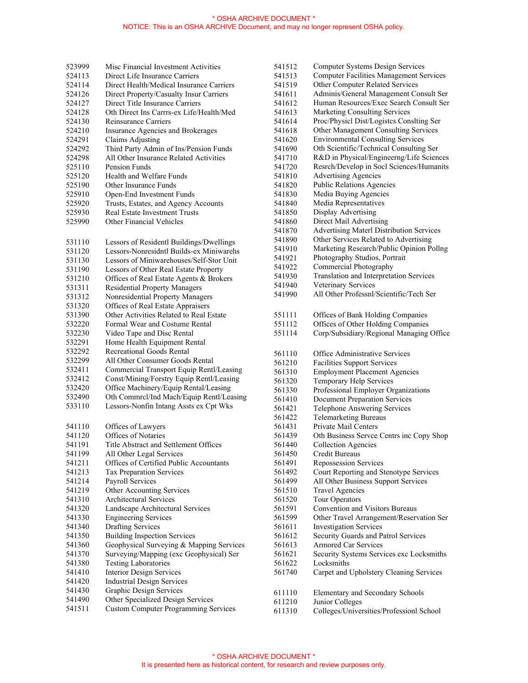| 523999 | Misc Financial Investment Activities        | 541512           | <b>Computer Systems Design Services</b>         |
|--------|---------------------------------------------|------------------|-------------------------------------------------|
| 524113 | Direct Life Insurance Carriers              | 541513           | <b>Computer Facilities Management Service</b>   |
| 524114 | Direct Health/Medical Insurance Carriers    | 541519           | Other Computer Related Services                 |
| 524126 | Direct Property/Casualty Insur Carriers     | 541611           | Adminis/General Management Consult So           |
| 524127 | Direct Title Insurance Carriers             | 541612           | Human Resources/Exec Search Consult S           |
| 524128 | Oth Direct Ins Carrrs-ex Life/Health/Med    | 541613           | Marketing Consulting Services                   |
| 524130 | Reinsurance Carriers                        | 541614           | Proc/Physicl Dist/Logistes Conslting Ser        |
| 524210 | Insurance Agencies and Brokerages           | 541618           | Other Management Consulting Services            |
| 524291 | <b>Claims Adjusting</b>                     | 541620           | <b>Environmental Consulting Services</b>        |
| 524292 | Third Party Admin of Ins/Pension Funds      | 541690           | Oth Scientific/Technical Consulting Ser         |
| 524298 | All Other Insurance Related Activities      | 541710           | R&D in Physical/Engineerng/Life Scienc          |
| 525110 | Pension Funds                               | 541720           | Resrch/Develop in Socl Sciences/Humani          |
| 525120 | Health and Welfare Funds                    | 541810           | <b>Advertising Agencies</b>                     |
| 525190 | Other Insurance Funds                       | 541820           | <b>Public Relations Agencies</b>                |
| 525910 | Open-End Investment Funds                   | 541830           | Media Buying Agencies                           |
| 525920 | Trusts, Estates, and Agency Accounts        | 541840           | Media Representatives                           |
|        | <b>Real Estate Investment Trusts</b>        |                  | Display Advertising                             |
| 525930 | Other Financial Vehicles                    | 541850           | Direct Mail Advertising                         |
| 525990 |                                             | 541860           |                                                 |
|        |                                             | 541870           | <b>Advertising Materl Distribution Services</b> |
| 531110 | Lessors of Residentl Buildings/Dwellings    | 541890           | Other Services Related to Advertising           |
| 531120 | Lessors-Nonresidntl Builds-ex Miniwarehs    | 541910           | Marketing Research/Public Opinion Pollr         |
| 531130 | Lessors of Miniwarehouses/Self-Stor Unit    | 541921           | Photography Studios, Portrait                   |
| 531190 | Lessors of Other Real Estate Property       | 541922           | Commercial Photography                          |
| 531210 | Offices of Real Estate Agents & Brokers     | 541930           | Translation and Interpretation Services         |
| 531311 | <b>Residential Property Managers</b>        | 541940           | Veterinary Services                             |
| 531312 | Nonresidential Property Managers            | 541990           | All Other Professnl/Scientific/Tech Ser         |
| 531320 | Offices of Real Estate Appraisers           |                  |                                                 |
| 531390 | Other Activities Related to Real Estate     | 551111           | Offices of Bank Holding Companies               |
| 532220 | Formal Wear and Costume Rental              | 551112           | Offices of Other Holding Companies              |
| 532230 | Video Tape and Disc Rental                  | 551114           | Corp/Subsidiary/Regional Managing Offi          |
| 532291 | Home Health Equipment Rental                |                  |                                                 |
| 532292 | <b>Recreational Goods Rental</b>            | 561110           | Office Administrative Services                  |
| 532299 | All Other Consumer Goods Rental             | 561210           | <b>Facilities Support Services</b>              |
| 532411 | Commercial Transport Equip Rentl/Leasing    | 561310           | <b>Employment Placement Agencies</b>            |
| 532412 | Const/Mining/Forstry Equip Rentl/Leasing    | 561320           | Temporary Help Services                         |
| 532420 | Office Machinery/Equip Rental/Leasing       | 561330           | Professional Employer Organizations             |
| 532490 | Oth Commrcl/Ind Mach/Equip Rentl/Leasing    | 561410           | <b>Document Preparation Services</b>            |
| 533110 | Lessors-Nonfin Intang Assts ex Cpt Wks      | 561421           | <b>Telephone Answering Services</b>             |
|        |                                             |                  | <b>Telemarketing Bureaus</b>                    |
| 541110 |                                             | 561422           | Private Mail Centers                            |
|        | Offices of Lawyers                          | 561431<br>561439 |                                                 |
| 541120 | Offices of Notaries                         |                  | Oth Business Servee Centrs inc Copy Sho         |
| 541191 | Title Abstract and Settlement Offices       | 561440           | Collection Agencies                             |
| 541199 | All Other Legal Services                    | 561450           | Credit Bureaus                                  |
| 541211 | Offices of Certified Public Accountants     | 561491           | Repossession Services                           |
| 541213 | Tax Preparation Services                    | 561492           | Court Reporting and Stenotype Services          |
| 541214 | Payroll Services                            | 561499           | All Other Business Support Services             |
| 541219 | Other Accounting Services                   | 561510           | <b>Travel Agencies</b>                          |
| 541310 | Architectural Services                      | 561520           | Tour Operators                                  |
| 541320 | Landscape Architectural Services            | 561591           | Convention and Visitors Bureaus                 |
| 541330 | <b>Engineering Services</b>                 | 561599           | Other Travel Arrangement/Reservation So         |
| 541340 | <b>Drafting Services</b>                    | 561611           | <b>Investigation Services</b>                   |
| 541350 | <b>Building Inspection Services</b>         | 561612           | Security Guards and Patrol Services             |
| 541360 | Geophysical Surveying & Mapping Services    | 561613           | Armored Car Services                            |
| 541370 | Surveying/Mapping (exc Geophysical) Ser     | 561621           | Security Systems Services exc Locksmith         |
| 541380 | <b>Testing Laboratories</b>                 | 561622           | Locksmiths                                      |
| 541410 | <b>Interior Design Services</b>             | 561740           | Carpet and Upholstery Cleaning Services         |
| 541420 | <b>Industrial Design Services</b>           |                  |                                                 |
| 541430 | <b>Graphic Design Services</b>              | 611110           | Elementary and Secondary Schools                |
| 541490 | Other Specialized Design Services           | 611210           | Junior Colleges                                 |
| 541511 | <b>Custom Computer Programming Services</b> | 611310           | Colleges/Universities/Professionl School        |

| 541512 | <b>Computer Systems Design Services</b>             |
|--------|-----------------------------------------------------|
| 541513 | <b>Computer Facilities Management Services</b>      |
| 541519 | Other Computer Related Services                     |
| 541611 | Adminis/General Management Consult Ser              |
| 541612 | Human Resources/Exec Search Consult Ser             |
| 541613 | <b>Marketing Consulting Services</b>                |
| 541614 | Proc/Physicl Dist/Logistes Conslting Ser            |
| 541618 | Other Management Consulting Services                |
|        |                                                     |
| 541620 | <b>Environmental Consulting Services</b>            |
| 541690 | Oth Scientific/Technical Consulting Ser             |
| 541710 | R&D in Physical/Engineerng/Life Sciences            |
| 541720 | Resrch/Develop in Socl Sciences/Humanits            |
| 541810 | <b>Advertising Agencies</b>                         |
| 541820 | <b>Public Relations Agencies</b>                    |
| 541830 | Media Buying Agencies                               |
| 541840 | Media Representatives                               |
| 541850 | Display Advertising                                 |
| 541860 | Direct Mail Advertising                             |
| 541870 | <b>Advertising Materl Distribution Services</b>     |
| 541890 | Other Services Related to Advertising               |
| 541910 | Marketing Research/Public Opinion Pollng            |
| 541921 | Photography Studios, Portrait                       |
| 541922 | Commercial Photography                              |
| 541930 | Translation and Interpretation Services             |
| 541940 | Veterinary Services                                 |
| 541990 | All Other Professnl/Scientific/Tech Ser             |
|        |                                                     |
|        |                                                     |
| 551111 | Offices of Bank Holding Companies                   |
| 551112 | Offices of Other Holding Companies                  |
| 551114 | Corp/Subsidiary/Regional Managing Office            |
|        |                                                     |
| 561110 | Office Administrative Services                      |
| 561210 | <b>Facilities Support Services</b>                  |
| 561310 | <b>Employment Placement Agencies</b>                |
| 561320 | Temporary Help Services                             |
| 561330 | Professional Employer Organizations                 |
| 561410 | <b>Document Preparation Services</b>                |
| 561421 | Telephone Answering Services                        |
| 561422 | <b>Telemarketing Bureaus</b>                        |
| 561431 | Private Mail Centers                                |
| 561439 | Oth Business Servce Centrs inc Copy Shop            |
| 561440 | <b>Collection Agencies</b>                          |
| 561450 | <b>Credit Bureaus</b>                               |
| 561491 | <b>Repossession Services</b>                        |
| 561492 | Court Reporting and Stenotype Services              |
| 561499 | All Other Business Support Services                 |
| 561510 |                                                     |
|        | <b>Travel Agencies</b>                              |
| 561520 | <b>Tour Operators</b>                               |
| 561591 | Convention and Visitors Bureaus                     |
| 561599 | Other Travel Arrangement/Reservation Ser            |
| 561611 | <b>Investigation Services</b>                       |
| 561612 | Security Guards and Patrol Services                 |
| 561613 | <b>Armored Car Services</b>                         |
| 561621 | Security Systems Services exc Locksmiths            |
| 561622 | Locksmiths                                          |
| 561740 | Carpet and Upholstery Cleaning Services             |
|        |                                                     |
| 611110 |                                                     |
|        |                                                     |
| 611210 | Elementary and Secondary Schools<br>Junior Colleges |